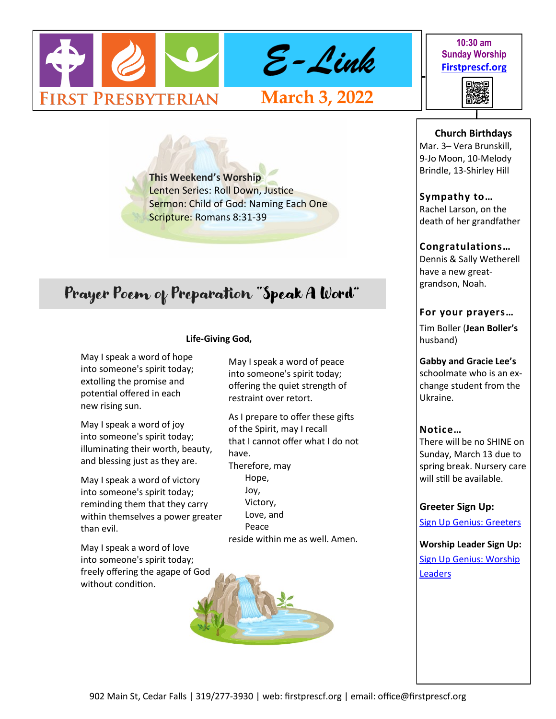

#### **10:30 am Sunday Worship [Firstprescf.org](http://www.firstprescf.org)**



**This Weekend's Worship**  Lenten Series: Roll Down, Justice Sermon: Child of God: Naming Each One Scripture: Romans 8:31-39

# Prayer Poem of Preparation "Speak A Word"

# **Life-Giving God,**

May I speak a word of hope into someone's spirit today; extolling the promise and potential offered in each new rising sun.

May I speak a word of joy into someone's spirit today; illuminating their worth, beauty, and blessing just as they are.

May I speak a word of victory into someone's spirit today; reminding them that they carry within themselves a power greater than evil.

May I speak a word of love into someone's spirit today; freely offering the agape of God without condition.

May I speak a word of peace into someone's spirit today; offering the quiet strength of restraint over retort.

As I prepare to offer these gifts of the Spirit, may I recall that I cannot offer what I do not have. Therefore, may

Hope, Joy, Victory, Love, and Peace reside within me as well. Amen. **Church Birthdays**

Mar. 3– Vera Brunskill, 9-Jo Moon, 10-Melody Brindle, 13-Shirley Hill

## **Sympathy to…**

Rachel Larson, on the death of her grandfather

## **Congratulations…**

Dennis & Sally Wetherell have a new greatgrandson, Noah.

## **For your prayers…**

Tim Boller (**Jean Boller's** husband)

## **Gabby and Gracie Lee's**

schoolmate who is an exchange student from the Ukraine.

## **Notice…**

There will be no SHINE on Sunday, March 13 due to spring break. Nursery care will still be available.

## **Greeter Sign Up:**

[Sign Up Genius: Greeters](https://www.signupgenius.com/go/10C0D4BA9A728ABF4CF8-shepherds1)

**Worship Leader Sign Up:** [Sign Up Genius: Worship](https://www.signupgenius.com/go/10C0D4BA9A728ABF4CF8-worship)  **[Leaders](https://www.signupgenius.com/go/10C0D4BA9A728ABF4CF8-worship)**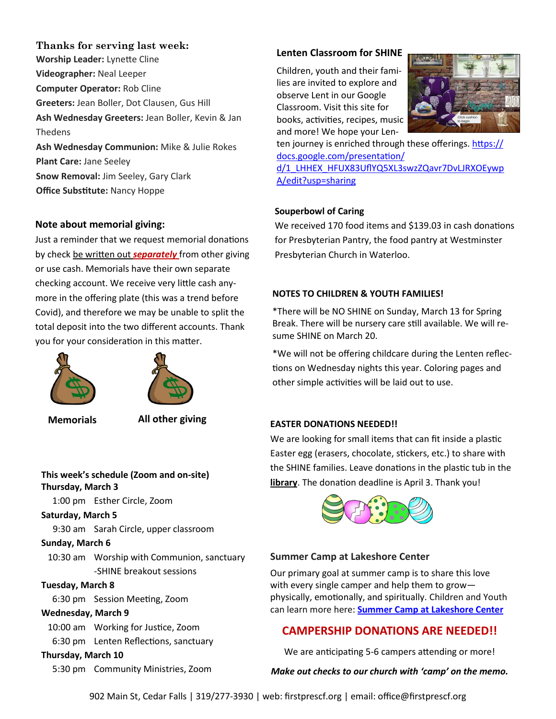#### **Thanks for serving last week:**

**Worship Leader:** Lynette Cline **Videographer:** Neal Leeper **Computer Operator:** Rob Cline **Greeters:** Jean Boller, Dot Clausen, Gus Hill **Ash Wednesday Greeters:** Jean Boller, Kevin & Jan Thedens **Ash Wednesday Communion:** Mike & Julie Rokes **Plant Care:** Jane Seeley **Snow Removal:** Jim Seeley, Gary Clark

**Office Substitute:** Nancy Hoppe

#### **Note about memorial giving:**

Just a reminder that we request memorial donations by check be written out *separately* from other giving or use cash. Memorials have their own separate checking account. We receive very little cash anymore in the offering plate (this was a trend before Covid), and therefore we may be unable to split the total deposit into the two different accounts. Thank you for your consideration in this matter.





**Memorials All other giving**

## **This week's schedule (Zoom and on-site) Thursday, March 3**

1:00 pm Esther Circle, Zoom

## **Saturday, March 5**

9:30 am Sarah Circle, upper classroom

#### **Sunday, March 6**

10:30 am Worship with Communion, sanctuary -SHINE breakout sessions

## **Tuesday, March 8**

6:30 pm Session Meeting, Zoom

## **Wednesday, March 9**

10:00 am Working for Justice, Zoom 6:30 pm Lenten Reflections, sanctuary

## **Thursday, March 10**

5:30 pm Community Ministries, Zoom

## **Lenten Classroom for SHINE**

Children, youth and their families are invited to explore and observe Lent in our Google Classroom. Visit this site for books, activities, recipes, music and more! We hope your Len-



ten journey is enriched through these offerings. [https://](https://docs.google.com/presentation/d/1_LHHEX_HFUX83UflYQ5XL3swzZQavr7DvLJRXOEywpA/edit?usp=sharing) [docs.google.com/presentation/](https://docs.google.com/presentation/d/1_LHHEX_HFUX83UflYQ5XL3swzZQavr7DvLJRXOEywpA/edit?usp=sharing) [d/1\\_LHHEX\\_HFUX83UflYQ5XL3swzZQavr7DvLJRXOEywp](https://docs.google.com/presentation/d/1_LHHEX_HFUX83UflYQ5XL3swzZQavr7DvLJRXOEywpA/edit?usp=sharing) [A/edit?usp=sharing](https://docs.google.com/presentation/d/1_LHHEX_HFUX83UflYQ5XL3swzZQavr7DvLJRXOEywpA/edit?usp=sharing)

#### **Souperbowl of Caring**

We received 170 food items and \$139.03 in cash donations for Presbyterian Pantry, the food pantry at Westminster Presbyterian Church in Waterloo.

#### **NOTES TO CHILDREN & YOUTH FAMILIES!**

\*There will be NO SHINE on Sunday, March 13 for Spring Break. There will be nursery care still available. We will resume SHINE on March 20.

\*We will not be offering childcare during the Lenten reflections on Wednesday nights this year. Coloring pages and other simple activities will be laid out to use.

#### **EASTER DONATIONS NEEDED!!**

We are looking for small items that can fit inside a plastic Easter egg (erasers, chocolate, stickers, etc.) to share with the SHINE families. Leave donations in the plastic tub in the **library**. The donation deadline is April 3. Thank you!



#### **Summer Camp at Lakeshore Center**

Our primary goal at summer camp is to share this love with every single camper and help them to grow physically, emotionally, and spiritually. Children and Youth can learn more here: **[Summer Camp at Lakeshore Center](https://www.lakeshorecenteratokoboji.org/summer-camp.html)**

## **CAMPERSHIP DONATIONS ARE NEEDED!!**

We are anticipating 5-6 campers attending or more!

#### *Make out checks to our church with 'camp' on the memo.*

902 Main St, Cedar Falls | 319/277-3930 | web: firstprescf.org | email: office@firstprescf.org